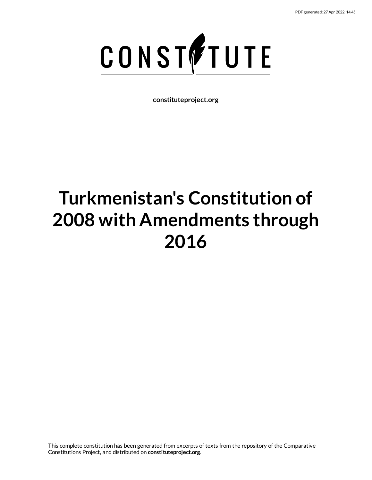

**constituteproject.org**

# **Turkmenistan's Constitution of 2008 with Amendments through 2016**

This complete constitution has been generated from excerpts of texts from the repository of the Comparative Constitutions Project, and distributed on **constituteproject.org**.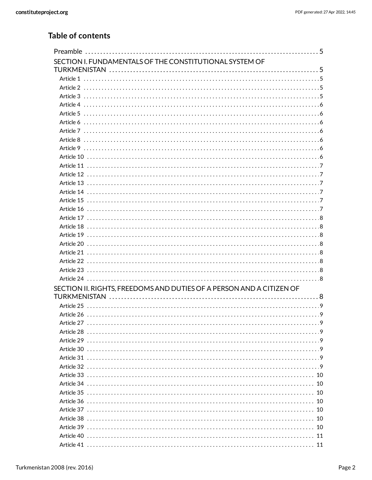# Table of contents

| SECTION I. FUNDAMENTALS OF THE CONSTITUTIONAL SYSTEM OF              |  |
|----------------------------------------------------------------------|--|
|                                                                      |  |
|                                                                      |  |
|                                                                      |  |
|                                                                      |  |
|                                                                      |  |
|                                                                      |  |
|                                                                      |  |
|                                                                      |  |
|                                                                      |  |
|                                                                      |  |
|                                                                      |  |
|                                                                      |  |
|                                                                      |  |
|                                                                      |  |
|                                                                      |  |
|                                                                      |  |
|                                                                      |  |
|                                                                      |  |
|                                                                      |  |
|                                                                      |  |
|                                                                      |  |
|                                                                      |  |
|                                                                      |  |
|                                                                      |  |
|                                                                      |  |
| SECTION II. RIGHTS. FREEDOMS AND DUTIES OF A PERSON AND A CITIZEN OF |  |
|                                                                      |  |
|                                                                      |  |
|                                                                      |  |
|                                                                      |  |
|                                                                      |  |
|                                                                      |  |
|                                                                      |  |
|                                                                      |  |
|                                                                      |  |
|                                                                      |  |
|                                                                      |  |
|                                                                      |  |
|                                                                      |  |
|                                                                      |  |
|                                                                      |  |
|                                                                      |  |
|                                                                      |  |
|                                                                      |  |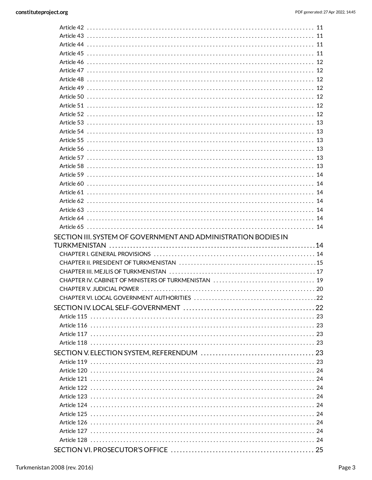| SECTION III. SYSTEM OF GOVERNMENT AND ADMINISTRATION BODIES IN |  |
|----------------------------------------------------------------|--|
|                                                                |  |
|                                                                |  |
|                                                                |  |
|                                                                |  |
|                                                                |  |
|                                                                |  |
|                                                                |  |
|                                                                |  |
|                                                                |  |
|                                                                |  |
|                                                                |  |
|                                                                |  |
|                                                                |  |
|                                                                |  |
|                                                                |  |
|                                                                |  |
|                                                                |  |
|                                                                |  |
|                                                                |  |
|                                                                |  |
|                                                                |  |
|                                                                |  |
|                                                                |  |
|                                                                |  |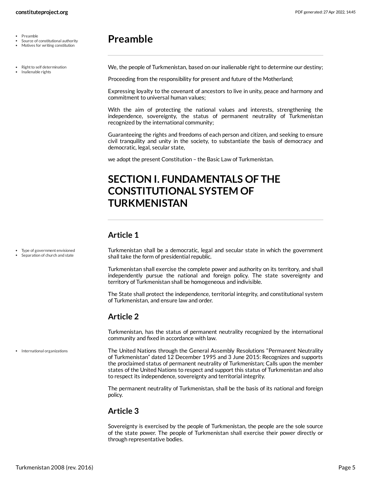- Preamble  $\bullet$
- Source of constitutional authority
- Motives for writing constitution

Type of government envisioned Separation of church and state

Right to self determination

• Inalienable rights

# <span id="page-4-0"></span>**Preamble**

<span id="page-4-5"></span>We, the people of Turkmenistan, based on our inalienable right to determine our destiny;

Proceeding from the responsibility for present and future of the Motherland;

Expressing loyalty to the covenant of ancestors to live in unity, peace and harmony and commitment to universal human values;

With the aim of protecting the national values and interests, strengthening the independence, sovereignty, the status of permanent neutrality of Turkmenistan recognized by the international community;

Guaranteeing the rights and freedoms of each person and citizen, and seeking to ensure civil tranquility and unity in the society, to substantiate the basis of democracy and democratic, legal, secular state,

we adopt the present Constitution – the Basic Law of Turkmenistan.

# <span id="page-4-1"></span>**SECTION I. FUNDAMENTALS OF THE CONSTITUTIONAL SYSTEM OF TURKMENISTAN**

# <span id="page-4-2"></span>**Article 1**

<span id="page-4-7"></span>Turkmenistan shall be a democratic, legal and secular state in which the government shall take the form of presidential republic.

Turkmenistan shall exercise the complete power and authority on its territory, and shall independently pursue the national and foreign policy. The state sovereignty and territory of Turkmenistan shall be homogeneous and indivisible.

The State shall protect the independence, territorial integrity, and constitutional system of Turkmenistan, and ensure law and order.

# <span id="page-4-3"></span>**Article 2**

<span id="page-4-6"></span>Turkmenistan, has the status of permanent neutrality recognized by the international community and fixed in accordance with law.

The United Nations through the General Assembly Resolutions "Permanent Neutrality of Turkmenistan" dated 12 December 1995 and 3 June 2015: Recognizes and supports the proclaimed status of permanent neutrality of Turkmenistan; Calls upon the member states of the United Nations to respect and support this status of Turkmenistan and also to respect its independence, sovereignty and territorial integrity. International organizations

> The permanent neutrality of Turkmenistan, shall be the basis of its national and foreign policy.

# <span id="page-4-4"></span>**Article 3**

Sovereignty is exercised by the people of Turkmenistan, the people are the sole source of the state power. The people of Turkmenistan shall exercise their power directly or through representative bodies.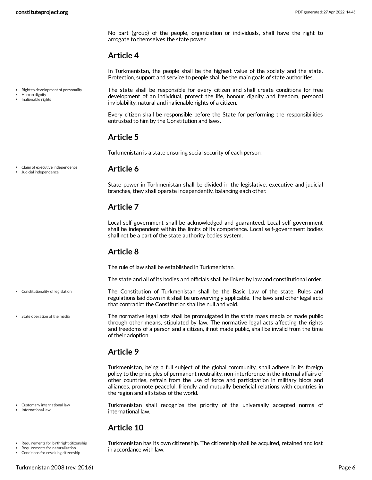No part (group) of the people, organization or individuals, shall have the right to arrogate to themselves the state power.

# <span id="page-5-0"></span>**Article 4**

In Turkmenistan, the people shall be the highest value of the society and the state. Protection, support and service to people shall be the main goals of state authorities.

Right to development of personality

- Human dignity
- Inalienable rights

<span id="page-5-10"></span>The state shall be responsible for every citizen and shall create conditions for free development of an individual, protect the life, honour, dignity and freedom, personal inviolability, natural and inalienable rights of a citizen.

Every citizen shall be responsible before the State for performing the responsibilities entrusted to him by the Constitution and laws.

# <span id="page-5-1"></span>**Article 5**

<span id="page-5-2"></span>**Article 6**

Turkmenistan is a state ensuring social security of each person.

Claim of executive independence

### Judicial independence

Constitutionality of legislation

State operation of the media

State power in Turkmenistan shall be divided in the legislative, executive and judicial branches, they shall operate independently, balancing each other.

# <span id="page-5-3"></span>**Article 7**

Local self-government shall be acknowledged and guaranteed. Local self-government shall be independent within the limits of its competence. Local self-government bodies shall not be a part of the state authority bodies system.

# <span id="page-5-4"></span>**Article 8**

The rule of law shall be established in Turkmenistan.

<span id="page-5-8"></span>The state and all of its bodies and officials shall be linked by law and constitutional order.

The Constitution of Turkmenistan shall be the Basic Law of the state. Rules and regulations laid down in it shall be unswervingly applicable. The laws and other legal acts that contradict the Constitution shall be null and void.

<span id="page-5-11"></span>The normative legal acts shall be promulgated in the state mass media or made public through other means, stipulated by law. The normative legal acts affecting the rights and freedoms of a person and a citizen, if not made public, shall be invalid from the time of their adoption.

# <span id="page-5-5"></span>**Article 9**

Turkmenistan, being a full subject of the global community, shall adhere in its foreign policy to the principles of permanent neutrality, non-interference in the internal affairs of other countries, refrain from the use of force and participation in military blocs and alliances, promote peaceful, friendly and mutually beneficial relations with countries in the region and all states of the world.

<span id="page-5-9"></span>Turkmenistan shall recognize the priority of the universally accepted norms of international law.

# <span id="page-5-6"></span>**Article 10**

<span id="page-5-7"></span>Turkmenistan has its own citizenship. The citizenship shall be acquired, retained and lost in accordance with law.

Requirements for birthright citizenship

Requirements for naturalization Conditions for revoking citizenship

Customary international law International law

Turkmenistan 2008 (rev. 2016) Page 6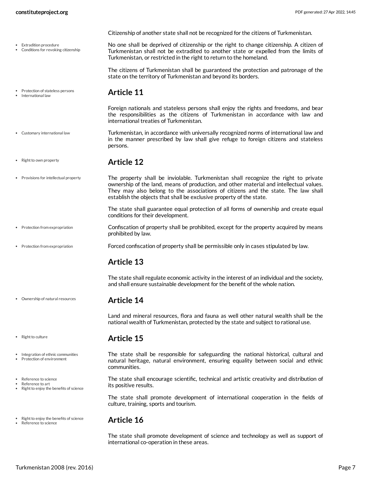- Extradition procedure
- Conditions for revoking citizenship

Citizenship of another state shall not be recognized for the citizens of Turkmenistan.

<span id="page-6-6"></span>No one shall be deprived of citizenship or the right to change citizenship. A citizen of Turkmenistan shall not be extradited to another state or expelled from the limits of Turkmenistan, or restricted in the right to return to the homeland.

The citizens of Turkmenistan shall be guaranteed the protection and patronage of the state on the territory of Turkmenistan and beyond its borders.

• Protection of stateless persons International law

# <span id="page-6-0"></span>**Article 11**

<span id="page-6-7"></span>Foreign nationals and stateless persons shall enjoy the rights and freedoms, and bear the responsibilities as the citizens of Turkmenistan in accordance with law and international treaties of Turkmenistan.

- Turkmenistan, in accordance with universally recognized norms of international law and in the manner prescribed by law shall give refuge to foreign citizens and stateless persons. Customary international law
	- **Article 12**
- The property shall be inviolable. Turkmenistan shall recognize the right to private ownership of the land, means of production, and other material and intellectual values. They may also belong to the associations of citizens and the state. The law shall establish the objects that shall be exclusive property of the state. • Provisions for intellectual property

<span id="page-6-10"></span><span id="page-6-9"></span><span id="page-6-1"></span>The state shall guarantee equal protection of all forms of ownership and create equal conditions for their development.

- Confiscation of property shall be prohibited, except for the property acquired by means prohibited by law. Protection from expropriation
- Forced confiscation of property shall be permissible only in cases stipulated by law. • Protection from expropriation

# <span id="page-6-2"></span>**Article 13**

The state shall regulate economic activity in the interest of an individual and the society, and shall ensure sustainable development for the benefit of the whole nation.

## <span id="page-6-3"></span>**Article 14**

Land and mineral resources, flora and fauna as well other natural wealth shall be the national wealth of Turkmenistan, protected by the state and subject to rational use.

# <span id="page-6-4"></span>**Article 15**

<span id="page-6-8"></span>The state shall be responsible for safeguarding the national historical, cultural and natural heritage, natural environment, ensuring equality between social and ethnic communities.

<span id="page-6-11"></span>The state shall encourage scientific, technical and artistic creativity and distribution of its positive results.

The state shall promote development of international cooperation in the fields of culture, training, sports and tourism.

# <span id="page-6-5"></span>**Article 16**

The state shall promote development of science and technology as well as support of international co-operation in these areas.

• Right to own property

Ownership of natural resources

- Right to culture
- Integration of ethnic communities Protection of environment
- Reference to science
- Reference to art
- Right to enjoy the benefits of science
- Right to enjoy the benefits of science Reference to science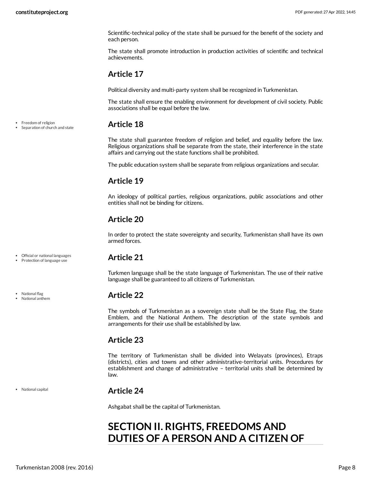Scientific-technical policy of the state shall be pursued for the benefit of the society and each person.

The state shall promote introduction in production activities of scientific and technical achievements.

# <span id="page-7-0"></span>**Article 17**

Political diversity and multi-party system shall be recognized in Turkmenistan.

The state shall ensure the enabling environment for development of civil society. Public associations shall be equal before the law.

# <span id="page-7-1"></span>**Article 18**

The state shall guarantee freedom of religion and belief, and equality before the law. Religious organizations shall be separate from the state, their interference in the state affairs and carrying out the state functions shall be prohibited.

The public education system shall be separate from religious organizations and secular.

# <span id="page-7-2"></span>**Article 19**

An ideology of political parties, religious organizations, public associations and other entities shall not be binding for citizens.

# <span id="page-7-3"></span>**Article 20**

In order to protect the state sovereignty and security, Turkmenistan shall have its own armed forces.

### Official or national languages • Protection of language use

• National flag National anthem

National capital

<span id="page-7-4"></span>**Article 21**

Turkmen language shall be the state language of Turkmenistan. The use of their native language shall be guaranteed to all citizens of Turkmenistan.

# <span id="page-7-5"></span>**Article 22**

The symbols of Turkmenistan as a sovereign state shall be the State Flag, the State Emblem, and the National Anthem. The description of the state symbols and arrangements for their use shall be established by law.

# <span id="page-7-6"></span>**Article 23**

The territory of Turkmenistan shall be divided into Welayats (provinces), Etraps (districts), cities and towns and other administrative-territorial units. Procedures for establishment and change of administrative – territorial units shall be determined by law.

# <span id="page-7-7"></span>**Article 24**

Ashgabat shall be the capital of Turkmenistan.

# <span id="page-7-8"></span>**SECTION II. RIGHTS, FREEDOMS AND DUTIES OF A PERSON AND A CITIZEN OF**

• Freedom of religion

Separation of church and state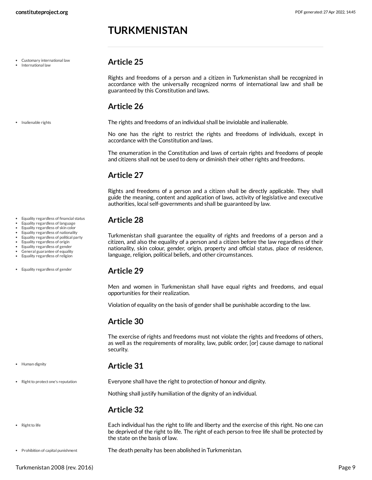# **TURKMENISTAN**

- Customary international law
- International law

• Inalienable rights

Equality regardless of financial status Equality regardless of language Equality regardless of skin color Equality regardless of nationality Equality regardless of political party Equality regardless of origin Equality regardless of gender General guarantee of equality Equality regardless of religion

Equality regardless of gender

• Human dignity

• Right to life

• Right to protect one's reputation

# <span id="page-8-0"></span>**Article 25**

Rights and freedoms of a person and a citizen in Turkmenistan shall be recognized in accordance with the universally recognized norms of international law and shall be guaranteed by this Constitution and laws.

# <span id="page-8-1"></span>**Article 26**

<span id="page-8-8"></span>The rights and freedoms of an individual shall be inviolable and inalienable.

No one has the right to restrict the rights and freedoms of individuals, except in accordance with the Constitution and laws.

The enumeration in the Constitution and laws of certain rights and freedoms of people and citizens shall not be used to deny or diminish their other rights and freedoms.

# <span id="page-8-2"></span>**Article 27**

Rights and freedoms of a person and a citizen shall be directly applicable. They shall guide the meaning, content and application of laws, activity of legislative and executive authorities, local self-governments and shall be guaranteed by law.

# <span id="page-8-3"></span>**Article 28**

Turkmenistan shall guarantee the equality of rights and freedoms of a person and a citizen, and also the equality of a person and a citizen before the law regardless of their nationality, skin colour, gender, origin, property and official status, place of residence, language, religion, political beliefs, and other circumstances.

# <span id="page-8-4"></span>**Article 29**

Men and women in Turkmenistan shall have equal rights and freedoms, and equal opportunities for their realization.

Violation of equality on the basis of gender shall be punishable according to the law.

# <span id="page-8-5"></span>**Article 30**

The exercise of rights and freedoms must not violate the rights and freedoms of others, as well as the requirements of morality, law, public order, [or] cause damage to national security.

# <span id="page-8-6"></span>**Article 31**

Everyone shall have the right to protection of honour and dignity.

<span id="page-8-11"></span>Nothing shall justify humiliation of the dignity of an individual.

# <span id="page-8-10"></span><span id="page-8-9"></span><span id="page-8-7"></span>**Article 32**

Each individual has the right to life and liberty and the exercise of this right. No one can be deprived of the right to life. The right of each person to free life shall be protected by the state on the basis of law.

The death penalty has been abolished in Turkmenistan. Prohibition of capital punishment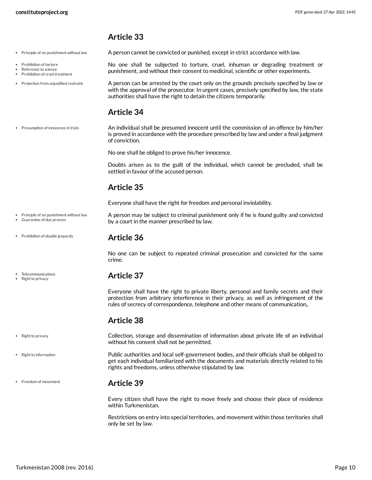- $\bullet$  Principle of no punishment without law
- Prohibition of torture
- Reference to science Prohibition of cruel treatment
- 

• Prohibition of double jeopardy

Telecommunications Right to privacy

• Right to privacy

• Freedom of movement

• Protection from unjustified restraint

<span id="page-9-11"></span>punishment, and without their consent to medicinal, scientific or other experiments. A person can be arrested by the court only on the grounds precisely specified by law or with the approval of the prosecutor. In urgent cases, precisely specified by law, the state authorities shall have the right to detain the citizens temporarily.

<span id="page-9-10"></span>No one shall be subjected to torture, cruel, inhuman or degrading treatment or

<span id="page-9-9"></span><span id="page-9-0"></span>A person cannot be convicted or punished, except in strict accordance with law.

# <span id="page-9-8"></span><span id="page-9-1"></span>**Article 34**

An individual shall be presumed innocent until the commission of an offence by him/her is proved in accordance with the procedure prescribed by law and under a final judgment of conviction. Presumption of innocence in trials

No one shall be obliged to prove his/her innocence.

Doubts arisen as to the guilt of the individual, which cannot be precluded, shall be settled in favour of the accused person.

# <span id="page-9-2"></span>**Article 35**

<span id="page-9-7"></span>Everyone shall have the right for freedom and personal inviolability.

- A person may be subject to criminal punishment only if he is found guilty and convicted by a court in the manner prescribed by law.  $\bullet$  Principle of no punishment without law Guarantee of due process
	- **Article 36**

<span id="page-9-3"></span>No one can be subject to repeated criminal prosecution and convicted for the same crime.

# <span id="page-9-4"></span>**Article 37**

Everyone shall have the right to private liberty, personal and family secrets and their protection from arbitrary interference in their privacy, as well as infringement of the rules of secrecy of correspondence, telephone and other means of communication,.

# <span id="page-9-5"></span>**Article 38**

<span id="page-9-12"></span>Collection, storage and dissemination of information about private life of an individual without his consent shall not be permitted.

Public authorities and local self-government bodies, and their officials shall be obliged to get each individual familiarized with the documents and materials directly related to his rights and freedoms, unless otherwise stipulated by law. • Right to information

# <span id="page-9-6"></span>**Article 39**

Every citizen shall have the right to move freely and choose their place of residence within Turkmenistan.

Restrictions on entry into special territories, and movement within those territories shall only be set by law.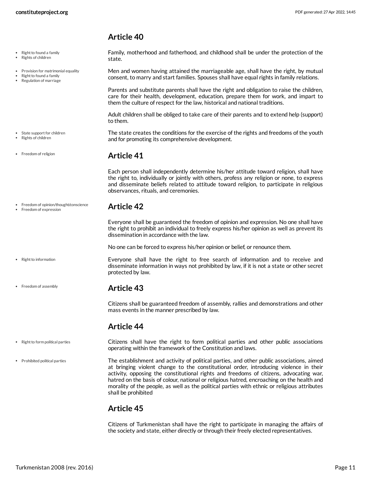state.

- Right to found a family
- Rights of children
- Provision for matrimonial equality
- Right to found a family Regulation of marriage

- State support for children
- Rights of children
- Freedom of religion

• Right to information

• Freedom of assembly

<span id="page-10-1"></span>**Article 41**

to them.

<span id="page-10-2"></span>Each person shall independently determine his/her attitude toward religion, shall have the right to, individually or jointly with others, profess any religion or none, to express and disseminate beliefs related to attitude toward religion, to participate in religious observances, rituals, and ceremonies.

<span id="page-10-9"></span><span id="page-10-0"></span>Family, motherhood and fatherhood, and childhood shall be under the protection of the

<span id="page-10-7"></span>Men and women having attained the marriageable age, shall have the right, by mutual consent, to marry and start families. Spouses shall have equal rights in family relations.

Parents and substitute parents shall have the right and obligation to raise the children, care for their health, development, education, prepare them for work, and impart to

Adult children shall be obliged to take care of their parents and to extend help (support)

<span id="page-10-11"></span>The state creates the conditions for the exercise of the rights and freedoms of the youth

them the culture of respect for the law, historical and national traditions.

and for promoting its comprehensive development.

- **Article 42** Freedom of opinion/thought/conscience • Freedom of expression
	- Everyone shall be guaranteed the freedom of opinion and expression. No one shall have the right to prohibit an individual to freely express his/her opinion as well as prevent its dissemination in accordance with the law.

No one can be forced to express his/her opinion or belief, or renounce them.

<span id="page-10-10"></span>Everyone shall have the right to free search of information and to receive and disseminate information in ways not prohibited by law, if it is not a state or other secret protected by law.

### <span id="page-10-3"></span>**Article 43**

Citizens shall be guaranteed freedom of assembly, rallies and demonstrations and other mass events in the manner prescribed by law.

## <span id="page-10-8"></span><span id="page-10-6"></span><span id="page-10-4"></span>**Article 44**

- Citizens shall have the right to form political parties and other public associations operating within the framework of the Constitution and laws. • Right to form political parties
- The establishment and activity of political parties, and other public associations, aimed at bringing violent change to the constitutional order, introducing violence in their activity, opposing the constitutional rights and freedoms of citizens, advocating war, hatred on the basis of colour, national or religious hatred, encroaching on the health and morality of the people, as well as the political parties with ethnic or religious attributes shall be prohibited Prohibited political parties

# <span id="page-10-5"></span>**Article 45**

Citizens of Turkmenistan shall have the right to participate in managing the affairs of the society and state, either directly or through their freely elected representatives.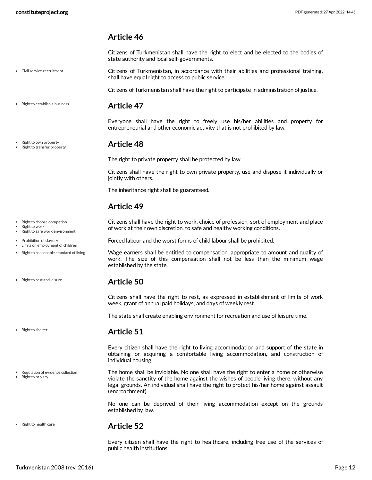<span id="page-11-0"></span>Citizens of Turkmenistan shall have the right to elect and be elected to the bodies of state authority and local self-governments.

<span id="page-11-7"></span>Citizens of Turkmenistan, in accordance with their abilities and professional training, shall have equal right to access to public service.

<span id="page-11-1"></span>Citizens of Turkmenistan shall have the right to participate in administration of justice.

**Article 47**

Everyone shall have the right to freely use his/her abilities and property for entrepreneurial and other economic activity that is not prohibited by law.

## <span id="page-11-2"></span>**Article 48**

The right to private property shall be protected by law.

Citizens shall have the right to own private property, use and dispose it individually or jointly with others.

The inheritance right shall be guaranteed.

# <span id="page-11-3"></span>**Article 49**

<span id="page-11-10"></span>Citizens shall have the right to work, choice of profession, sort of employment and place of work at their own discretion, to safe and healthy working conditions.

<span id="page-11-8"></span>Forced labour and the worst forms of child labour shall be prohibited.

<span id="page-11-11"></span>Wage earners shall be entitled to compensation, appropriate to amount and quality of work. The size of this compensation shall not be less than the minimum wage established by the state.

# <span id="page-11-4"></span>**Article 50**

Citizens shall have the right to rest, as expressed in establishment of limits of work week, grant of annual paid holidays, and days of weekly rest.

The state shall create enabling environment for recreation and use of leisure time.

## <span id="page-11-5"></span>**Article 51**

Every citizen shall have the right to living accommodation and support of the state in obtaining or acquiring a comfortable living accommodation, and construction of individual housing.

<span id="page-11-9"></span>The home shall be inviolable. No one shall have the right to enter a home or otherwise violate the sanctity of the home against the wishes of people living there, without any legal grounds. An individual shall have the right to protect his/her home against assault (encroachment).

No one can be deprived of their living accommodation except on the grounds established by law.

## <span id="page-11-6"></span>**Article 52**

Every citizen shall have the right to healthcare, including free use of the services of public health institutions.

Civil service recruitment

• Right to establish a business

Right to own property Right to transfer property

• Right to choose occupation Right to work

- Right to safe work environment
- Prohibition of slavery
- Limits on employment of children

• Right to reasonable standard of living

• Right to rest and leisure

• Right to shelter

• Regulation of evidence collection

Right to privacy

• Right to health care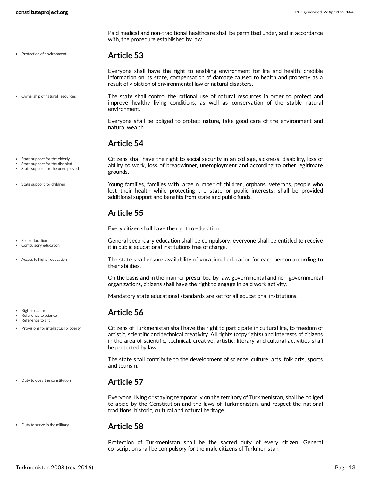• Protection of environment

Paid medical and non-traditional healthcare shall be permitted under, and in accordance with, the procedure established by law.

## <span id="page-12-0"></span>**Article 53**

<span id="page-12-8"></span>Everyone shall have the right to enabling environment for life and health, credible information on its state, compensation of damage caused to health and property as a result of violation of environmental law or natural disasters.

The state shall control the rational use of natural resources in order to protect and improve healthy living conditions, as well as conservation of the stable natural environment. Ownership of natural resources

additional support and benefits from state and public funds.

Every citizen shall have the right to education.

it in public educational institutions free of charge.

traditions, historic, cultural and natural heritage.

Everyone shall be obliged to protect nature, take good care of the environment and natural wealth.

<span id="page-12-11"></span>Citizens shall have the right to social security in an old age, sickness, disability, loss of ability to work, loss of breadwinner, unemployment and according to other legitimate

<span id="page-12-10"></span>Young families, families with large number of children, orphans, veterans, people who lost their health while protecting the state or public interests, shall be provided

<span id="page-12-7"></span>General secondary education shall be compulsory; everyone shall be entitled to receive

<span id="page-12-6"></span>The state shall ensure availability of vocational education for each person according to

On the basis and in the manner prescribed by law, governmental and non-governmental

<span id="page-12-9"></span>Citizens of Turkmenistan shall have the right to participate in cultural life, to freedom of artistic, scientific and technical creativity. All rights (copyrights) and interests of citizens in the area of scientific, technical, creative, artistic, literary and cultural activities shall

The state shall contribute to the development of science, culture, arts, folk arts, sports

Everyone, living or staying temporarily on the territory of Turkmenistan, shall be obliged to abide by the Constitution and the laws of Turkmenistan, and respect the national

organizations, citizens shall have the right to engage in paid work activity.

Mandatory state educational standards are set for all educational institutions.

# <span id="page-12-1"></span>**Article 54**

<span id="page-12-2"></span>**Article 55**

their abilities.

<span id="page-12-3"></span>**Article 56**

and tourism.

<span id="page-12-4"></span>**Article 57**

be protected by law.

grounds.

• State support for the elderly

- State support for the disabled
- State support for the unemployed

• State support for children

Free education Compulsory education

Access to higher education

Right to culture

Reference to science Reference to art

• Provisions for intellectual property

Duty to obey the constitution

• Duty to serve in the military

# <span id="page-12-5"></span>**Article 58**

Protection of Turkmenistan shall be the sacred duty of every citizen. General conscription shall be compulsory for the male citizens of Turkmenistan.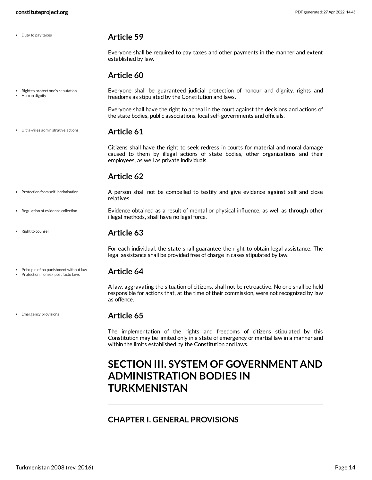• Duty to pay taxes

# <span id="page-13-0"></span>**Article 59**

Everyone shall be required to pay taxes and other payments in the manner and extent established by law.

# <span id="page-13-9"></span><span id="page-13-1"></span>**Article 60**

Everyone shall be guaranteed judicial protection of honour and dignity, rights and freedoms as stipulated by the Constitution and laws. • Right to protect one's reputation Human dignity

> Everyone shall have the right to appeal in the court against the decisions and actions of the state bodies, public associations, local self-governments and officials.

Ultra-vires administrative actions

<span id="page-13-2"></span>**Article 61**

Citizens shall have the right to seek redress in courts for material and moral damage caused to them by illegal actions of state bodies, other organizations and their employees, as well as private individuals.

# <span id="page-13-11"></span><span id="page-13-10"></span><span id="page-13-3"></span>**Article 62**

- A person shall not be compelled to testify and give evidence against self and close relatives. • Protection from self-incrimination
- Evidence obtained as a result of mental or physical influence, as well as through other illegal methods, shall have no legal force. Regulation of evidence collection
	- **Article 63**

<span id="page-13-4"></span>For each individual, the state shall guarantee the right to obtain legal assistance. The legal assistance shall be provided free of charge in cases stipulated by law.

**Article 64** • Principle of no punishment without law Protection from ex post facto laws

<span id="page-13-5"></span>

A law, aggravating the situation of citizens, shall not be retroactive. No one shall be held responsible for actions that, at the time of their commission, were not recognized by law as offence.

• Emergency provisions

• Right to counsel

## <span id="page-13-6"></span>**Article 65**

The implementation of the rights and freedoms of citizens stipulated by this Constitution may be limited only in a state of emergency or martial law in a manner and within the limits established by the Constitution and laws.

# <span id="page-13-7"></span>**SECTION III. SYSTEM OF GOVERNMENT AND ADMINISTRATION BODIES IN TURKMENISTAN**

# <span id="page-13-8"></span>**CHAPTER I. GENERAL PROVISIONS**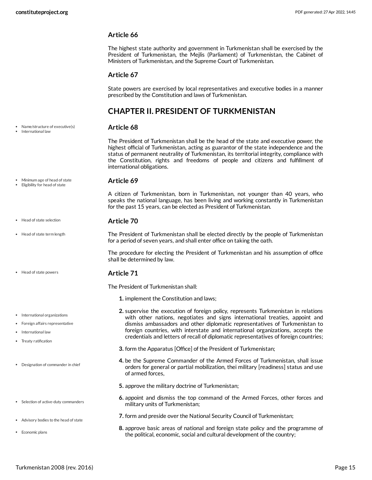The highest state authority and government in Turkmenistan shall be exercised by the President of Turkmenistan, the Mejlis (Parliament) of Turkmenistan, the Cabinet of Ministers of Turkmenistan, and the Supreme Court of Turkmenistan.

### **Article 67**

State powers are exercised by local representatives and executive bodies in a manner prescribed by the Constitution and laws of Turkmenistan.

# <span id="page-14-0"></span>**CHAPTER II. PRESIDENT OF TURKMENISTAN**

### <span id="page-14-6"></span>**Article 68**

The President of Turkmenistan shall be the head of the state and executive power, the highest official of Turkmenistan, acting as guarantor of the state independence and the status of permanent neutrality of Turkmenistan, its territorial integrity, compliance with the Constitution, rights and freedoms of people and citizens and fulfillment of international obligations.

### <span id="page-14-2"></span>**Article 69**

A citizen of Turkmenistan, born in Turkmenistan, not younger than 40 years, who speaks the national language, has been living and working constantly in Turkmenistan for the past 15 years, can be elected as President of Turkmenistan.

### **Article 70**

<span id="page-14-5"></span><span id="page-14-4"></span>The President of Turkmenistan shall be elected directly by the people of Turkmenistan for a period of seven years, and shall enter office on taking the oath.

The procedure for electing the President of Turkmenistan and his assumption of office shall be determined by law.

### <span id="page-14-3"></span>**Article 71**

<span id="page-14-1"></span>The President of Turkmenistan shall:

- **1.** implement the Constitution and laws;
- **2.** supervise the execution of foreign policy, represents Turkmenistan in relations with other nations, negotiates and signs international treaties, appoint and dismiss ambassadors and other diplomatic representatives of Turkmenistan to foreign countries, with interstate and international organizations, accepts the credentials and letters of recall of diplomatic representatives of foreign countries;
- **3.** form the Apparatus [Office] of the President of Turkmenistan;
- **4.** be the Supreme Commander of the Armed Forces of Turkmenistan, shall issue orders for general or partial mobilization, thei military [readiness] status and use of armed forces,
- **5.** approve the military doctrine of Turkmenistan;
- **6.** appoint and dismiss the top command of the Armed Forces, other forces and military units of Turkmenistan;
- **7.** form and preside over the National Security Council of Turkmenistan;
- **8.** approve basic areas of national and foreign state policy and the programme of the political, economic, social and cultural development of the country;

### Name/structure of executive(s) International law

- 
- Minimum age of head of state
- Eligibility for head of state
- Head of state selection
- Head of state term length
- Head of state powers
- International organizations
- Foreign affairs representative
- International law
- Treaty ratification
- Designation of commander in chief
- Selection of active-duty commanders
- Advisory bodies to the head of state
- Economic plans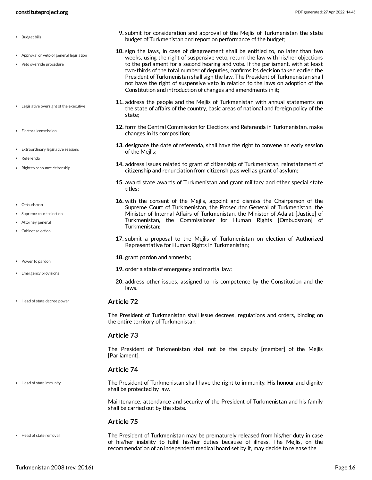- Budget bills
- Approval or veto of general legislation
- Veto override procedure
- Legislative oversight of the executive
- Electoral commission
- Extraordinary legislative sessions
- Referenda
- Right to renounce citizenship
- Ombudsman
- Supreme court selection
- Attorney general
- Cabinet selection
- Power to pardon
- Emergency provisions
- Head of state decree power

• Head of state immunity

The President of Turkmenistan shall issue decrees, regulations and orders, binding on the entire territory of Turkmenistan.

### **Article 73**

<span id="page-15-0"></span>**Article 72**

The President of Turkmenistan shall not be the deputy [member] of the Mejlis [Parliament].

### **Article 74**

<span id="page-15-1"></span>The President of Turkmenistan shall have the right to immunity. His honour and dignity shall be protected by law.

Maintenance, attendance and security of the President of Turkmenistan and his family shall be carried out by the state.

### <span id="page-15-2"></span>**Article 75**

The President of Turkmenistan may be prematurely released from his/her duty in case of his/her inability to fulfill his/her duties because of illness. The Mejlis, on the recommendation of an independent medical board set by it, may decide to release the Head of state removal

- **9.** submit for consideration and approval of the Mejlis of Turkmenistan the state budget of Turkmenistan and report on performance of the budget;
- **10.** sign the laws, in case of disagreement shall be entitled to, no later than two weeks, using the right of suspensive veto, return the law with his/her objections to the parliament for a second hearing and vote. If the parliament, with at least two-thirds of the total number of deputies, confirms its decision taken earlier, the President of Turkmenistan shall sign the law. The President of Turkmenistan shall not have the right of suspensive veto in relation to the laws on adoption of the Constitution and introduction of changes and amendments in it;
- **11.** address the people and the Mejlis of Turkmenistan with annual statements on the state of affairs of the country, basic areas of national and foreign policy of the state;
- **12.** form the Central Commission for Elections and Referenda in Turkmenistan, make changes in its composition;
- **13.** designate the date of referenda, shall have the right to convene an early session of the Mejlis;
- **14.** address issues related to grant of citizenship of Turkmenistan, reinstatement of citizenship and renunciation from citizenship,as well as grant of asylum;
- **15.** award state awards of Turkmenistan and grant military and other special state titles;
- **16.** with the consent of the Mejlis, appoint and dismiss the Chairperson of the Supreme Court of Turkmenistan, the Prosecutor General of Turkmenistan, the Minister of Internal Affairs of Turkmenistan, the Minister of Adalat [Justice] of Turkmenistan, the Commissioner for Human Rights [Ombudsman] of Turkmenistan;
- **17.** submit a proposal to the Mejlis of Turkmenistan on election of Authorized Representative for Human Rights in Turkmenistan;
- **18.** grant pardon and amnesty;
- **19.** order a state of emergency and martial law;
- **20.** address other issues, assigned to his competence by the Constitution and the laws.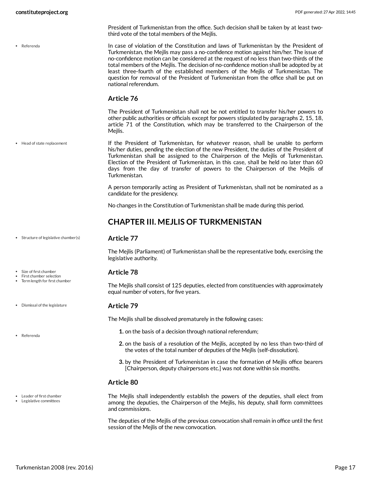**P**eferenda

Head of state replacement

• Structure of legislative chamber(s)

Size of first chamber First chamber selection Term length for first chamber

Dismissal of the legislature

Referenda

Election of the President of Turkmenistan, in this case, shall be held no later than 60 days from the day of transfer of powers to the Chairperson of the Mejlis of Turkmenistan. A person temporarily acting as President of Turkmenistan, shall not be nominated as a candidate for the presidency.

President of Turkmenistan from the office. Such decision shall be taken by at least two-

<span id="page-16-5"></span>In case of violation of the Constitution and laws of Turkmenistan by the President of Turkmenistan, the Mejlis may pass a no-confidence motion against him/her. The issue of no-confidence motion can be considered at the request of no less than two-thirds of the total members of the Mejlis. The decision of no-confidence motion shall be adopted by at least three-fourth of the established members of the Mejlis of Turkmenistan. The question for removal of the President of Turkmenistan from the office shall be put on

The President of Turkmenistan shall not be not entitled to transfer his/her powers to other public authorities or officials except for powers stipulated by paragraphs 2, 15, 18, article 71 of the Constitution, which may be transferred to the Chairperson of the

<span id="page-16-3"></span>If the President of Turkmenistan, for whatever reason, shall be unable to perform his/her duties, pending the election of the new President, the duties of the President of Turkmenistan shall be assigned to the Chairperson of the Mejlis of Turkmenistan.

third vote of the total members of the Mejlis.

national referendum.

**Article 76**

Mejlis.

No changes in the Constitution of Turkmenistan shall be made during this period.

# <span id="page-16-0"></span>**CHAPTER III. MEJLIS OF TURKMENISTAN**

### <span id="page-16-6"></span>**Article 77**

The Mejlis (Parliament) of Turkmenistan shall be the representative body, exercising the legislative authority.

### <span id="page-16-2"></span>**Article 78**

The Mejlis shall consist of 125 deputies, elected from constituencies with approximately equal number of voters, for five years.

### <span id="page-16-1"></span>**Article 79**

The Mejlis shall be dissolved prematurely in the following cases:

- **1.** on the basis of a decision through national referendum;
- **2.** on the basis of a resolution of the Mejlis, accepted by no less than two-third of the votes of the total number of deputies of the Mejlis (self-dissolution).
- **3.** by the President of Turkmenistan in case the formation of Mejlis office bearers [Chairperson, deputy chairpersons etc.] was not done within six months.

### **Article 80**

<span id="page-16-4"></span>The Mejlis shall independently establish the powers of the deputies, shall elect from among the deputies, the Chairperson of the Mejlis, his deputy, shall form committees and commissions.

The deputies of the Mejlis of the previous convocation shall remain in office until the first session of the Mejlis of the new convocation.

Leader of first chamber Legislative committees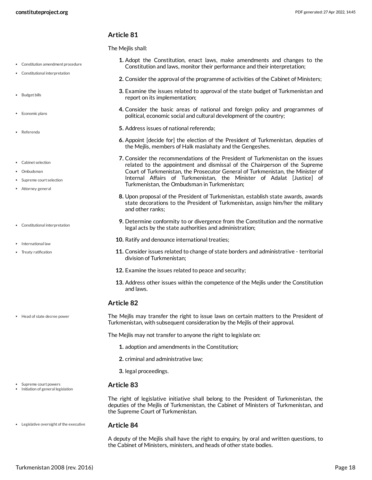<span id="page-17-0"></span>The Meilis shall:

- Constitution amendment procedure
- Constitutional interpretation
- Budget bills
- Economic plans
- Referenda
- Cabinet selection
- Ombudsman
- Supreme court selection
- Attorney general
- Constitutional interpretation
- International law
- Treaty ratification

Head of state decree power

- Supreme court powers
- Initiation of general legislation
- **1.** Adopt the Constitution, enact laws, make amendments and changes to the Constitution and laws, monitor their performance and their interpretation;
- **2.** Consider the approval of the programme of activities of the Cabinet of Ministers;
- **3.** Examine the issues related to approval of the state budget of Turkmenistan and report on its implementation;
- **4.** Consider the basic areas of national and foreign policy and programmes of political, economic social and cultural development of the country;
- **5.** Address issues of national referenda;
- **6.** Appoint [decide for] the election of the President of Turkmenistan, deputies of the Mejlis, members of Halk maslahaty and the Gengeshes.
- **7.** Consider the recommendations of the President of Turkmenistan on the issues related to the appointment and dismissal of the Chairperson of the Supreme Court of Turkmenistan, the Prosecutor General of Turkmenistan, the Minister of Internal Affairs of Turkmenistan, the Minister of Adalat [Justice] of Turkmenistan, the Ombudsman in Turkmenistan;
- **8.** Upon proposal of the President of Turkmenistan, establish state awards, awards state decorations to the President of Turkmenistan, assign him/her the military and other ranks;
- **9.** Determine conformity to or divergence from the Constitution and the normative legal acts by the state authorities and administration;
- **10.** Ratify and denounce international treaties;
- **11.** Consider issues related to change of state borders and administrative territorial division of Turkmenistan;
- **12.** Examine the issues related to peace and security;
- **13.** Address other issues within the competence of the Mejlis under the Constitution and laws.

### **Article 82**

<span id="page-17-1"></span>The Mejlis may transfer the right to issue laws on certain matters to the President of Turkmenistan, with subsequent consideration by the Mejlis of their approval.

The Mejlis may not transfer to anyone the right to legislate on:

- **1.** adoption and amendments in the Constitution;
- **2.** criminal and administrative law;
- **3.** legal proceedings.

### <span id="page-17-2"></span>**Article 83**

The right of legislative initiative shall belong to the President of Turkmenistan, the deputies of the Mejlis of Turkmenistan, the Cabinet of Ministers of Turkmenistan, and the Supreme Court of Turkmenistan.

Legislative oversight of the executive

### <span id="page-17-3"></span>**Article 84**

A deputy of the Mejlis shall have the right to enquiry, by oral and written questions, to the Cabinet of Ministers, ministers, and heads of other state bodies.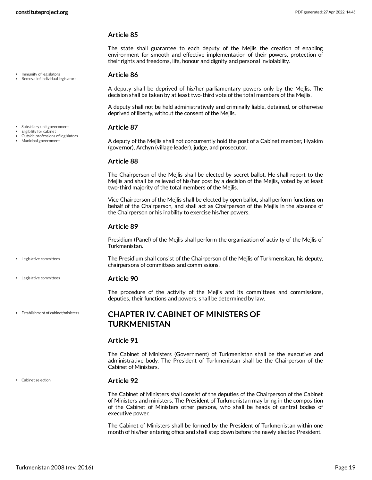The state shall guarantee to each deputy of the Mejlis the creation of enabling environment for smooth and effective implementation of their powers, protection of their rights and freedoms, life, honour and dignity and personal inviolability.

### <span id="page-18-3"></span>**Article 86**

A deputy shall be deprived of his/her parliamentary powers only by the Mejlis. The decision shall be taken by at least two-third vote of the total members of the Mejlis.

A deputy shall not be held administratively and criminally liable, detained, or otherwise deprived of liberty, without the consent of the Mejlis.

### <span id="page-18-2"></span>**Article 87**

A deputy of the Mejlis shall not concurrently hold the post of a Cabinet member, Hyakim (governor), Archyn (village leader), judge, and prosecutor.

### **Article 88**

The Chairperson of the Mejlis shall be elected by secret ballot. He shall report to the Mejlis and shall be relieved of his/her post by a decision of the Mejlis, voted by at least two-third majority of the total members of the Mejlis.

Vice Chairperson of the Mejlis shall be elected by open ballot, shall perform functions on behalf of the Chairperson, and shall act as Chairperson of the Mejlis in the absence of the Chairperson or his inability to exercise his/her powers.

### **Article 89**

Presidium (Panel) of the Mejlis shall perform the organization of activity of the Mejlis of Turkmenistan.

<span id="page-18-4"></span>The Presidium shall consist of the Chairperson of the Mejlis of Turkmensitan, his deputy, chairpersons of committees and commissions.

### **Article 90**

The procedure of the activity of the Mejlis and its committees and commissions, deputies, their functions and powers, shall be determined by law.

# <span id="page-18-0"></span>**CHAPTER IV. CABINET OF MINISTERS OF TURKMENISTAN**

### **Article 91**

The Cabinet of Ministers (Government) of Turkmenistan shall be the executive and administrative body. The President of Turkmenistan shall be the Chairperson of the Cabinet of Ministers.

### <span id="page-18-1"></span>**Article 92**

The Cabinet of Ministers shall consist of the deputies of the Chairperson of the Cabinet of Ministers and ministers. The President of Turkmenistan may bring in the composition of the Cabinet of Ministers other persons, who shall be heads of central bodies of executive power.

The Cabinet of Ministers shall be formed by the President of Turkmenistan within one month of his/her entering office and shall step down before the newly elected President.

Immunity of legislators Removal of individual legislators

Subsidiary unit government

- Eligibility for cabinet Outside professions of legislators
- Municipal government

Legislative committees

Legislative committees

Establishment of cabinet/ministers

Cabinet selection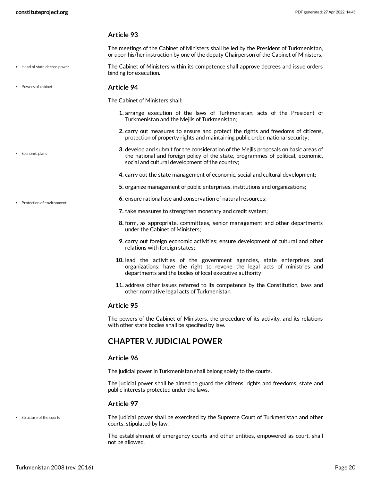Head of state decree power

• Economic plans

Protection of environment

### **Article 93**

The meetings of the Cabinet of Ministers shall be led by the President of Turkmenistan, or upon his/her instruction by one of the deputy Chairperson of the Cabinet of Ministers.

- <span id="page-19-2"></span>The Cabinet of Ministers within its competence shall approve decrees and issue orders binding for execution.
- Powers of cabinet

<span id="page-19-3"></span>**Article 94**

<span id="page-19-1"></span>The Cabinet of Ministers shall:

- **1.** arrange execution of the laws of Turkmenistan, acts of the President of Turkmenistan and the Mejlis of Turkmenistan;
- **2.** carry out measures to ensure and protect the rights and freedoms of citizens, protection of property rights and maintaining public order, national security;
- **3.** develop and submit for the consideration of the Mejlis proposals on basic areas of the national and foreign policy of the state, programmes of political, economic, social and cultural development of the country;
- **4.** carry out the state management of economic, social and cultural development;
- **5.** organize management of public enterprises, institutions and organizations;
- **6.** ensure rational use and conservation of natural resources;
- **7.** take measures to strengthen monetary and credit system;
- **8.** form, as appropriate, committees, senior management and other departments under the Cabinet of Ministers;
- **9.** carry out foreign economic activities; ensure development of cultural and other relations with foreign states;
- **10.** lead the activities of the government agencies, state enterprises and organizations; have the right to revoke the legal acts of ministries and departments and the bodies of local executive authority;
- **11.** address other issues referred to its competence by the Constitution, laws and other normative legal acts of Turkmenistan.

### **Article 95**

The powers of the Cabinet of Ministers, the procedure of its activity, and its relations with other state bodies shall be specified by law.

# <span id="page-19-0"></span>**CHAPTER V. JUDICIAL POWER**

### **Article 96**

The judicial power in Turkmenistan shall belong solely to the courts.

The judicial power shall be aimed to guard the citizens' rights and freedoms, state and public interests protected under the laws.

### **Article 97**

Structure of the courts

<span id="page-19-4"></span>The judicial power shall be exercised by the Supreme Court of Turkmenistan and other courts, stipulated by law.

The establishment of emergency courts and other entities, empowered as court, shall not be allowed.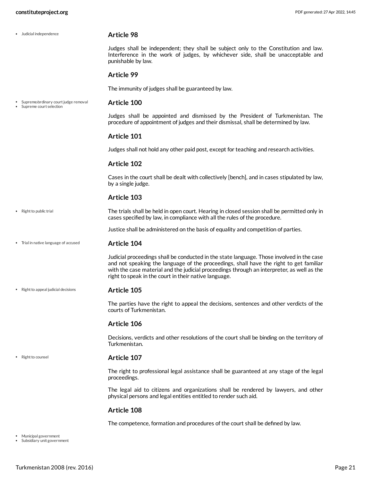<span id="page-20-5"></span><span id="page-20-4"></span><span id="page-20-0"></span>

| • Judicial independence                                         | <b>Article 98</b>                                                                                                                                                                                                                                                                                                                          |
|-----------------------------------------------------------------|--------------------------------------------------------------------------------------------------------------------------------------------------------------------------------------------------------------------------------------------------------------------------------------------------------------------------------------------|
|                                                                 | Judges shall be independent; they shall be subject only to the Constitution and law.<br>Interference in the work of judges, by whichever side, shall be unacceptable and<br>punishable by law.                                                                                                                                             |
|                                                                 | <b>Article 99</b>                                                                                                                                                                                                                                                                                                                          |
|                                                                 | The immunity of judges shall be guaranteed by law.                                                                                                                                                                                                                                                                                         |
| Supreme/ordinary court judge removal<br>Supreme court selection | Article 100                                                                                                                                                                                                                                                                                                                                |
|                                                                 | Judges shall be appointed and dismissed by the President of Turkmenistan. The<br>procedure of appointment of judges and their dismissal, shall be determined by law.                                                                                                                                                                       |
|                                                                 | Article 101                                                                                                                                                                                                                                                                                                                                |
|                                                                 | Judges shall not hold any other paid post, except for teaching and research activities.                                                                                                                                                                                                                                                    |
|                                                                 | <b>Article 102</b>                                                                                                                                                                                                                                                                                                                         |
|                                                                 | Cases in the court shall be dealt with collectively [bench], and in cases stipulated by law,<br>by a single judge.                                                                                                                                                                                                                         |
|                                                                 | Article 103                                                                                                                                                                                                                                                                                                                                |
| • Right to public trial                                         | The trials shall be held in open court. Hearing in closed session shall be permitted only in<br>cases specified by law, in compliance with all the rules of the procedure.                                                                                                                                                                 |
|                                                                 | Justice shall be administered on the basis of equality and competition of parties.                                                                                                                                                                                                                                                         |
| • Trial in native language of accused                           | Article 104                                                                                                                                                                                                                                                                                                                                |
|                                                                 | Judicial proceedings shall be conducted in the state language. Those involved in the case<br>and not speaking the language of the proceedings, shall have the right to get familiar<br>with the case material and the judicial proceedings through an interpreter, as well as the<br>right to speak in the court in their native language. |
| • Right to appeal judicial decisions                            | Article 105                                                                                                                                                                                                                                                                                                                                |
|                                                                 | The parties have the right to appeal the decisions, sentences and other verdicts of the<br>courts of Turkmenistan.                                                                                                                                                                                                                         |
|                                                                 | Article 106                                                                                                                                                                                                                                                                                                                                |
|                                                                 | Decisions, verdicts and other resolutions of the court shall be binding on the territory of<br>Turkmenistan.                                                                                                                                                                                                                               |
| • Right to counsel                                              | Article 107                                                                                                                                                                                                                                                                                                                                |
|                                                                 | The right to professional legal assistance shall be guaranteed at any stage of the legal<br>proceedings.                                                                                                                                                                                                                                   |
|                                                                 | The legal aid to citizens and organizations shall be rendered by lawyers, and other<br>physical persons and legal entities entitled to render such aid.                                                                                                                                                                                    |
|                                                                 | Article 108                                                                                                                                                                                                                                                                                                                                |
|                                                                 | The competence, formation and procedures of the court shall be defined by law.                                                                                                                                                                                                                                                             |

<span id="page-20-6"></span><span id="page-20-3"></span><span id="page-20-2"></span><span id="page-20-1"></span>

Municipal government Subsidiary unit government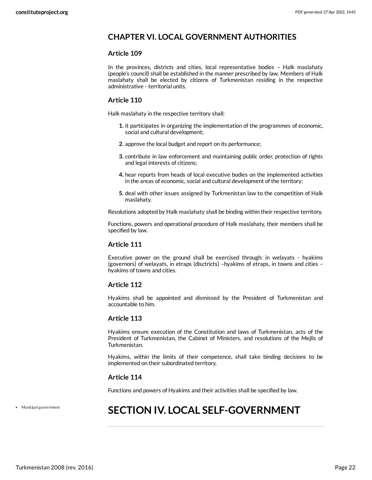# <span id="page-21-0"></span>**CHAPTER VI. LOCAL GOVERNMENT AUTHORITIES**

### **Article 109**

In the provinces, districts and cities, local representative bodies – Halk maslahaty (people's council) shall be established in the manner prescribed by law. Members of Halk maslahaty shall be elected by citizens of Turkmenistan residing in the respective administrative - territorial units.

### **Article 110**

Halk maslahaty in the respective territory shall:

- **1.** it participates in organizing the implementation of the programmes of economic, social and cultural development;
- **2.** approve the local budget and report on its performance;
- **3.** contribute in law enforcement and maintaining public order, protection of rights and legal interests of citizens;
- **4.** hear reports from heads of local executive bodies on the implemented activities in the areas of economic, social and cultural development of the territory;
- **5.** deal with other issues assigned by Turkmenistan law to the competition of Halk maslahaty.

Resolutions adopted by Halk maslahaty shall be binding within their respective territory.

Functions, powers and operational procedure of Halk maslahaty, their members shall be specified by law.

### **Article 111**

Executive power on the ground shall be exercised through: in welayats - hyakims (governors) of welayats, in etraps (disctricts) –hyakims of etraps, in towns and cities – hyakims of towns and cities.

### **Article 112**

Hyakims shall be appointed and dismissed by the President of Turkmenistan and accountable to him.

### **Article 113**

Hyakims ensure execution of the Constitution and laws of Turkmenistan, acts of the President of Turkmenistan, the Cabinet of Ministers, and resolutions of the Mejlis of Turkmenistan.

Hyakims, within the limits of their competence, shall take binding decisions to be implemented on their subordinated territory.

### **Article 114**

Functions and powers of Hyakims and their activities shall be specified by law.

Municipal government

# <span id="page-21-1"></span>**SECTION IV. LOCAL SELF-GOVERNMENT**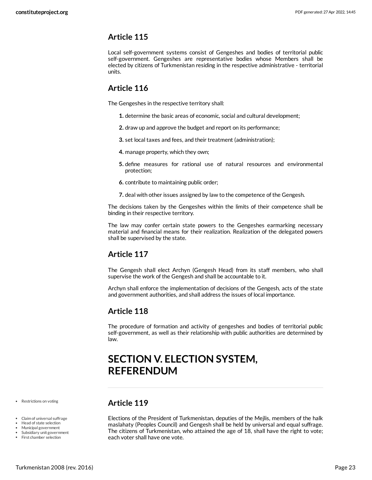<span id="page-22-0"></span>Local self-government systems consist of Gengeshes and bodies of territorial public self-government. Gengeshes are representative bodies whose Members shall be elected by citizens of Turkmenistan residing in the respective administrative - territorial units.

# <span id="page-22-1"></span>**Article 116**

The Gengeshes in the respective territory shall:

- **1.** determine the basic areas of economic, social and cultural development;
- **2.** draw up and approve the budget and report on its performance;
- **3.** set local taxes and fees, and their treatment (administration);
- **4.** manage property, which they own;
- **5.** define measures for rational use of natural resources and environmental protection;
- **6.** contribute to maintaining public order;
- **7.** deal with other issues assigned by law to the competence of the Gengesh.

The decisions taken by the Gengeshes within the limits of their competence shall be binding in their respective territory.

The law may confer certain state powers to the Gengeshes earmarking necessary material and financial means for their realization. Realization of the delegated powers shall be supervised by the state.

# <span id="page-22-2"></span>**Article 117**

The Gengesh shall elect Archyn (Gengesh Head) from its staff members, who shall supervise the work of the Gengesh and shall be accountable to it.

Archyn shall enforce the implementation of decisions of the Gengesh, acts of the state and government authorities, and shall address the issues of local importance.

# <span id="page-22-3"></span>**Article 118**

The procedure of formation and activity of gengeshes and bodies of territorial public self-government, as well as their relationship with public authorities are determined by law.

# <span id="page-22-4"></span>**SECTION V. ELECTION SYSTEM, REFERENDUM**

• Restrictions on voting

- Claim of universal suffrage
- Head of state selection
- Municipal government Subsidiary unit government
- First chamber selection

# <span id="page-22-5"></span>**Article 119**

<span id="page-22-6"></span>Elections of the President of Turkmenistan, deputies of the Mejlis, members of the halk maslahaty (Peoples Council) and Gengesh shall be held by universal and equal suffrage. The citizens of Turkmenistan, who attained the age of 18, shall have the right to vote; each voter shall have one vote.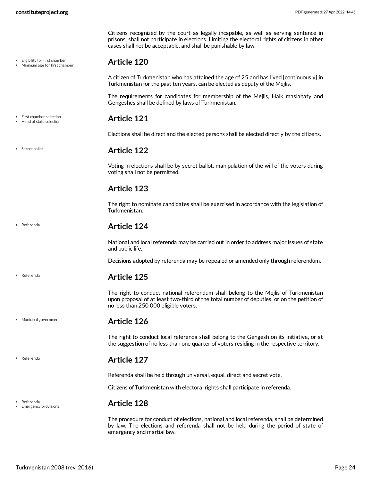Eligibility for first chamber Minimum age for first chamber Citizens recognized by the court as legally incapable, as well as serving sentence in prisons, shall not participate in elections. Limiting the electoral rights of citizens in other cases shall not be acceptable, and shall be punishable by law.

### <span id="page-23-0"></span>**Article 120**

A citizen of Turkmenistan who has attained the age of 25 and has lived [continuously] in Turkmenistan for the past ten years, can be elected as deputy of the Mejlis.

The requirements for candidates for membership of the Mejlis, Halk maslahaty and Gengeshes shall be defined by laws of Turkmenistan.

### <span id="page-23-1"></span>**Article 121**

<span id="page-23-2"></span>Elections shall be direct and the elected persons shall be elected directly by the citizens.

### **Article 122**

Voting in elections shall be by secret ballot, manipulation of the will of the voters during voting shall not be permitted.

# <span id="page-23-3"></span>**Article 123**

The right to nominate candidates shall be exercised in accordance with the legislation of Turkmenistan.

## <span id="page-23-4"></span>**Article 124**

National and local referenda may be carried out in order to address major issues of state and public life.

Decisions adopted by referenda may be repealed or amended only through referendum.

## <span id="page-23-5"></span>**Article 125**

The right to conduct national referendum shall belong to the Mejlis of Turkmenistan upon proposal of at least two-third of the total number of deputies, or on the petition of no less than 250 000 eligible voters.

### **Article 126**

<span id="page-23-6"></span>The right to conduct local referenda shall belong to the Gengesh on its initiative, or at the suggestion of no less than one quarter of voters residing in the respective territory.

## <span id="page-23-7"></span>**Article 127**

Referenda shall be held through universal, equal, direct and secret vote.

Citizens of Turkmenistan with electoral rights shall participate in referenda.

### <span id="page-23-8"></span>**Article 128**

The procedure for conduct of elections, national and local referenda, shall be determined by law. The elections and referenda shall not be held during the period of state of emergency and martial law.

### First chamber selection Head of state selection

• Secret ballot

Referenda

Referenda

Municipal government

Referenda

Emergency provisions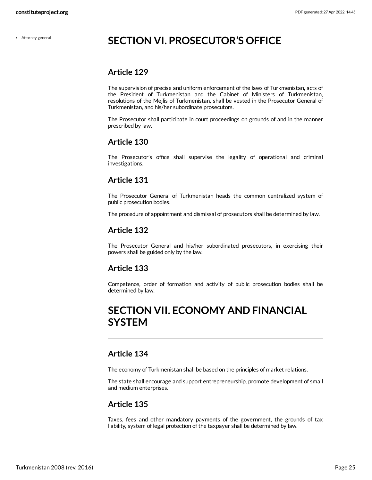# <span id="page-24-0"></span>**SECTION VI. PROSECUTOR'S OFFICE**

# <span id="page-24-1"></span>**Article 129**

The supervision of precise and uniform enforcement of the laws of Turkmenistan, acts of the President of Turkmenistan and the Cabinet of Ministers of Turkmenistan, resolutions of the Mejlis of Turkmenistan, shall be vested in the Prosecutor General of Turkmenistan, and his/her subordinate prosecutors.

The Prosecutor shall participate in court proceedings on grounds of and in the manner prescribed by law.

# <span id="page-24-2"></span>**Article 130**

The Prosecutor's office shall supervise the legality of operational and criminal investigations.

# <span id="page-24-3"></span>**Article 131**

The Prosecutor General of Turkmenistan heads the common centralized system of public prosecution bodies.

The procedure of appointment and dismissal of prosecutors shall be determined by law.

# <span id="page-24-4"></span>**Article 132**

The Prosecutor General and his/her subordinated prosecutors, in exercising their powers shall be guided only by the law.

# <span id="page-24-5"></span>**Article 133**

Competence, order of formation and activity of public prosecution bodies shall be determined by law.

# <span id="page-24-6"></span>**SECTION VII. ECONOMY AND FINANCIAL SYSTEM**

# <span id="page-24-7"></span>**Article 134**

The economy of Turkmenistan shall be based on the principles of market relations.

The state shall encourage and support entrepreneurship, promote development of small and medium enterprises.

# <span id="page-24-8"></span>**Article 135**

Taxes, fees and other mandatory payments of the government, the grounds of tax liability, system of legal protection of the taxpayer shall be determined by law.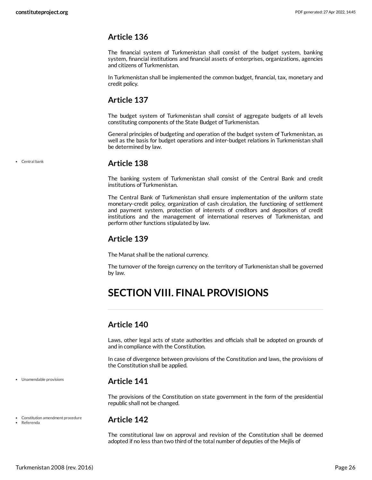<span id="page-25-0"></span>The financial system of Turkmenistan shall consist of the budget system, banking system, financial institutions and financial assets of enterprises, organizations, agencies and citizens of Turkmenistan.

In Turkmenistan shall be implemented the common budget, financial, tax, monetary and credit policy.

# <span id="page-25-1"></span>**Article 137**

The budget system of Turkmenistan shall consist of aggregate budgets of all levels constituting components of the State Budget of Turkmenistan.

General principles of budgeting and operation of the budget system of Turkmenistan, as well as the basis for budget operations and inter-budget relations in Turkmenistan shall be determined by law.

• Central bank

# <span id="page-25-2"></span>**Article 138**

The banking system of Turkmenistan shall consist of the Central Bank and credit institutions of Turkmenistan.

The Central Bank of Turkmenistan shall ensure implementation of the uniform state monetary-credit policy, organization of cash circulation, the functioning of settlement and payment system, protection of interests of creditors and depositors of credit institutions and the management of international reserves of Turkmenistan, and perform other functions stipulated by law.

# <span id="page-25-3"></span>**Article 139**

The Manat shall be the national currency.

The turnover of the foreign currency on the territory of Turkmenistan shall be governed by law.

# <span id="page-25-4"></span>**SECTION VIII. FINAL PROVISIONS**

# <span id="page-25-5"></span>**Article 140**

Laws, other legal acts of state authorities and officials shall be adopted on grounds of and in compliance with the Constitution.

In case of divergence between provisions of the Constitution and laws, the provisions of the Constitution shall be applied.

## <span id="page-25-6"></span>**Article 141**

The provisions of the Constitution on state government in the form of the presidential republic shall not be changed.

Constitution amendment procedure Referenda

Unamendable provisions

### <span id="page-25-7"></span>**Article 142**

The constitutional law on approval and revision of the Constitution shall be deemed adopted if no less than two third of the total number of deputies of the Mejlis of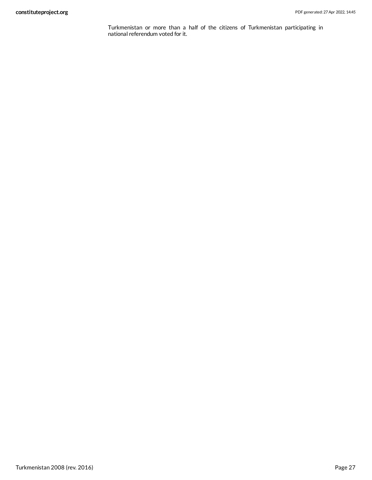Turkmenistan or more than a half of the citizens of Turkmenistan participating in national referendum voted for it.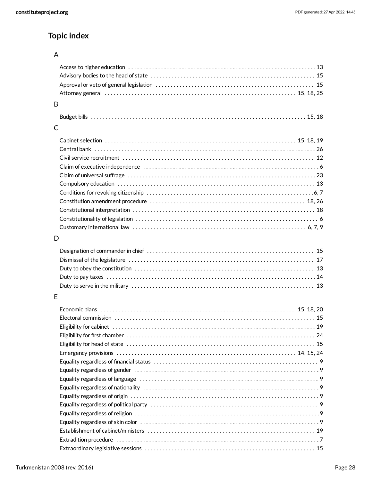# **Topic index**

# A

| B |  |
|---|--|
|   |  |
|   |  |
| C |  |
|   |  |
|   |  |
|   |  |
|   |  |
|   |  |
|   |  |
|   |  |
|   |  |
|   |  |
|   |  |
|   |  |
| D |  |
|   |  |
|   |  |
|   |  |
|   |  |
|   |  |
|   |  |
| E |  |
|   |  |
|   |  |
|   |  |
|   |  |
|   |  |
|   |  |
|   |  |
|   |  |
|   |  |
|   |  |
|   |  |
|   |  |
|   |  |
|   |  |
|   |  |
|   |  |
|   |  |
|   |  |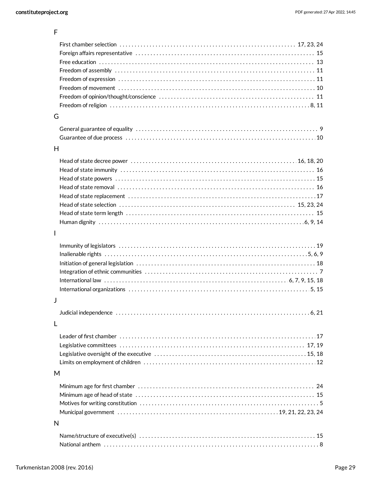| G            |  |
|--------------|--|
|              |  |
|              |  |
| H            |  |
|              |  |
|              |  |
|              |  |
|              |  |
|              |  |
|              |  |
|              |  |
|              |  |
| $\mathbf{I}$ |  |
|              |  |
|              |  |
|              |  |
|              |  |
|              |  |
|              |  |
| J            |  |
|              |  |
| $\mathbf{L}$ |  |
|              |  |
|              |  |
|              |  |
|              |  |
| M            |  |
|              |  |
|              |  |
|              |  |
|              |  |
| N            |  |
|              |  |
|              |  |
|              |  |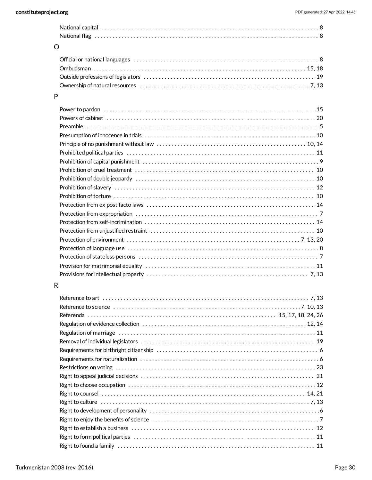| $\circ$ |  |  |  |  |
|---------|--|--|--|--|

# P

# R